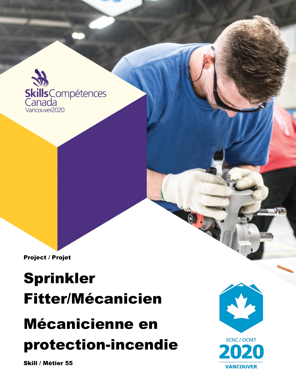

Project / Projet

## Sprinkler Fitter/Mécanicien Mécanicienne en protection-incendie

**SCNC / OCMT VANCOUVER** 

Skill / Métier 55